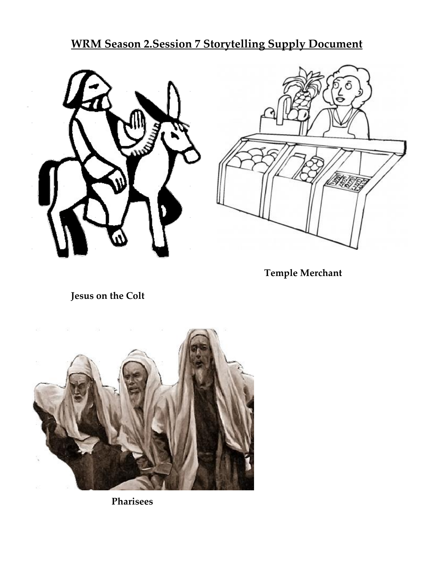**WRM Season 2.Session 7 Storytelling Supply Document**





 **Temple Merchant**

 **Jesus on the Colt**



 **Pharisees**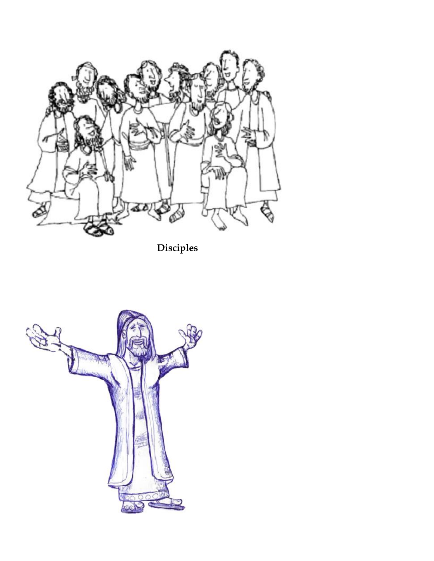

 **Disciples**

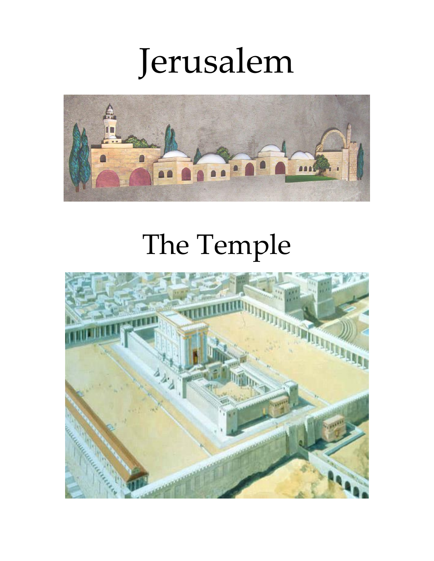# Jerusalem



## The Temple